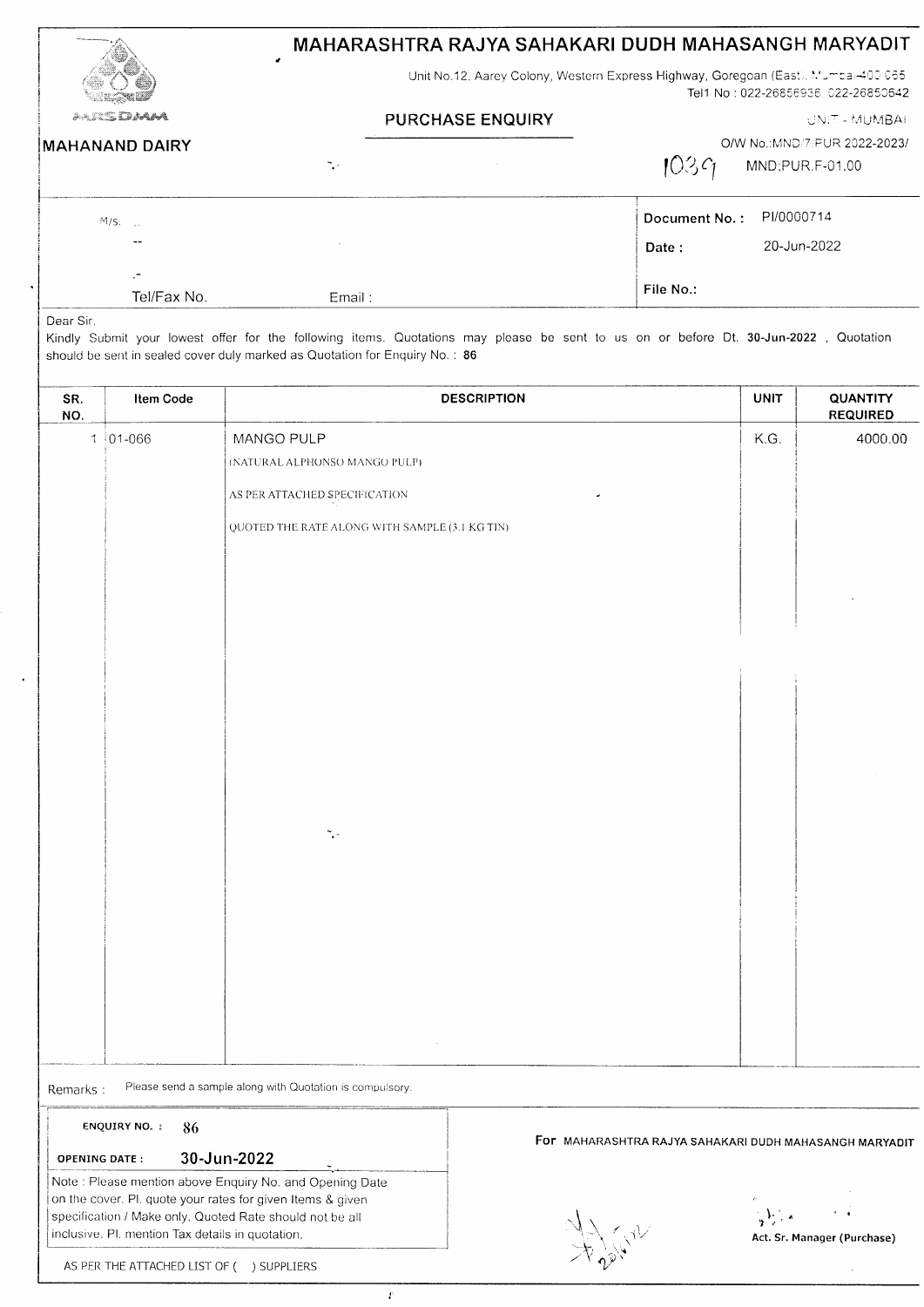|                       | MAHARASHTRA RAJYA SAHAKARI DUDH MAHASANGH MARYADIT<br>Unit No.12, Aarey Colony, Western Express Highway, Goregoan (East), Mumba: 400 065<br>Tel1 No: 022-26856936, 022-26850642 |                                                         |  |
|-----------------------|---------------------------------------------------------------------------------------------------------------------------------------------------------------------------------|---------------------------------------------------------|--|
|                       |                                                                                                                                                                                 |                                                         |  |
| a-silidaya            | <b>PURCHASE ENQUIRY</b>                                                                                                                                                         | <b>UNIT - MUMBAI</b>                                    |  |
| <b>MAHANAND DAIRY</b> | т. -                                                                                                                                                                            | O/W No.:MND/7/PUR-2022-2023/<br>1039<br>MND;PUR.F-01.00 |  |
| $M/s$ .               |                                                                                                                                                                                 | PI/0000714<br>Document No.:                             |  |
|                       |                                                                                                                                                                                 | 20-Jun-2022<br>Date:                                    |  |
| $\cdot$ -             |                                                                                                                                                                                 |                                                         |  |
| Tel/Fax No.           | Email:                                                                                                                                                                          | File No.:                                               |  |

Kindly Submit your lowest offer for the following items. Quotations may please be sent to us on or before Dt. 30-Jun-2022, Quotation should be sent in sealed cover duly marked as Quotation for Enquiry No.: 86

| SR.<br>NO. | Item Code                                                                                                              |                                                          | <b>DESCRIPTION</b>                                     | <b>UNIT</b>                    | QUANTITY<br><b>REQUIRED</b> |
|------------|------------------------------------------------------------------------------------------------------------------------|----------------------------------------------------------|--------------------------------------------------------|--------------------------------|-----------------------------|
|            | $1 01-066$                                                                                                             | MANGO PULP                                               |                                                        | K.G.                           | 4000.00                     |
|            |                                                                                                                        | (NATURAL ALPHONSO MANGO PULP)                            |                                                        |                                |                             |
|            |                                                                                                                        | AS PER ATTACHED SPECIFICATION                            |                                                        |                                |                             |
|            |                                                                                                                        | QUOTED THE RATE ALONG WITH SAMPLE (3.1 KG TIN)           |                                                        |                                |                             |
|            |                                                                                                                        |                                                          |                                                        |                                |                             |
|            |                                                                                                                        |                                                          |                                                        |                                |                             |
|            |                                                                                                                        |                                                          |                                                        |                                |                             |
|            |                                                                                                                        |                                                          |                                                        |                                |                             |
|            |                                                                                                                        |                                                          |                                                        |                                |                             |
|            |                                                                                                                        |                                                          |                                                        |                                |                             |
|            |                                                                                                                        |                                                          |                                                        |                                |                             |
|            |                                                                                                                        |                                                          |                                                        |                                |                             |
|            |                                                                                                                        |                                                          |                                                        |                                |                             |
|            |                                                                                                                        | ٦.                                                       |                                                        |                                |                             |
|            |                                                                                                                        |                                                          |                                                        |                                |                             |
|            |                                                                                                                        |                                                          |                                                        |                                |                             |
|            |                                                                                                                        |                                                          |                                                        |                                |                             |
|            |                                                                                                                        |                                                          |                                                        |                                |                             |
|            |                                                                                                                        |                                                          |                                                        |                                |                             |
|            |                                                                                                                        |                                                          |                                                        |                                |                             |
|            |                                                                                                                        |                                                          |                                                        |                                |                             |
| Remarks:   |                                                                                                                        | Please send a sample along with Quotation is compulsory. |                                                        |                                |                             |
|            | ENQUIRY NO. :<br>86                                                                                                    |                                                          |                                                        |                                |                             |
|            | <b>OPENING DATE:</b>                                                                                                   | 30-Jun-2022                                              | For MAHARASHTRA RAJYA SAHAKARI DUDH MAHASANGH MARYADIT |                                |                             |
|            |                                                                                                                        | Note: Please mention above Enquiry No. and Opening Date  |                                                        |                                |                             |
|            | on the cover. Pl. quote your rates for given Items & given<br>specification / Make only. Quoted Rate should not be all |                                                          |                                                        | $\frac{1}{2}\sum_{i=1}^{n}x_i$ |                             |
|            | inclusive. Pl. mention Tax details in quotation.                                                                       |                                                          | A COL                                                  |                                | Act. Sr. Manager (Purchase) |
|            | AS PER THE ATTACHED LIST OF ( ) SUPPLIERS                                                                              |                                                          |                                                        |                                |                             |

 $\bar{T}$ 

 $\bar{z}$ 

AS PER THE ATTACHED LIST OF ( ) SUPPLIERS

 $\ddot{\phantom{a}}$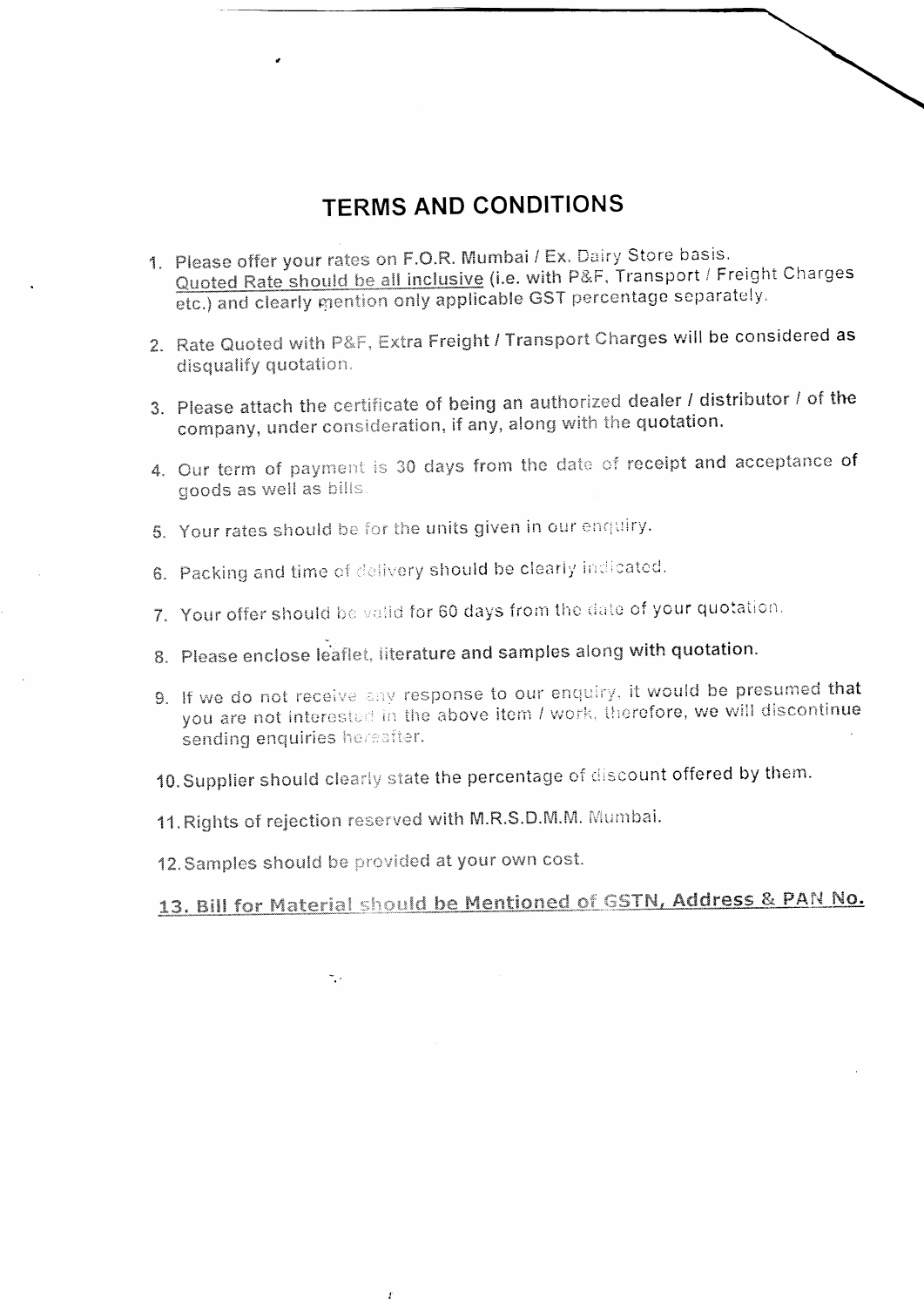## **TERMS AND CONDITIONS**

- 1. Please offer your rates on F.O.R. Mumbai / Ex. Dairy Store basis. Quoted Rate should be all inclusive (i.e. with P&F, Transport / Freight Charges etc.) and clearly mention only applicable GST percentage separately.
- 2. Rate Quoted with P&F, Extra Freight / Transport Charges will be considered as disqualify quotation.
- 3. Please attach the certificate of being an authorized dealer / distributor / of the company, under consideration, if any, along with the quotation.
- 4. Our term of payment is 30 days from the date of receipt and acceptance of goods as well as bills.
- 5. Your rates should be for the units given in our enquiry.
- 6. Packing and time of delivery should be clearly indicated.
- 7. Your offer should be valid for 60 days from the date of your quotation.
- 8. Please enclose leaflet, literature and samples along with quotation.
- 9. If we do not receive any response to our enquiry, it would be presumed that you are not interested in the above item / work, therefore, we will discontinue sending enquiries hereafter.
- 10. Supplier should clearly state the percentage of discount offered by them.
- 11. Rights of rejection reserved with M.R.S.D.M.M. Mumbai.
- 12. Samples should be provided at your own cost.

Ï

 $\frac{1}{2}$ 

## 13. Bill for Material should be Mentioned of GSTN, Address & PAN No.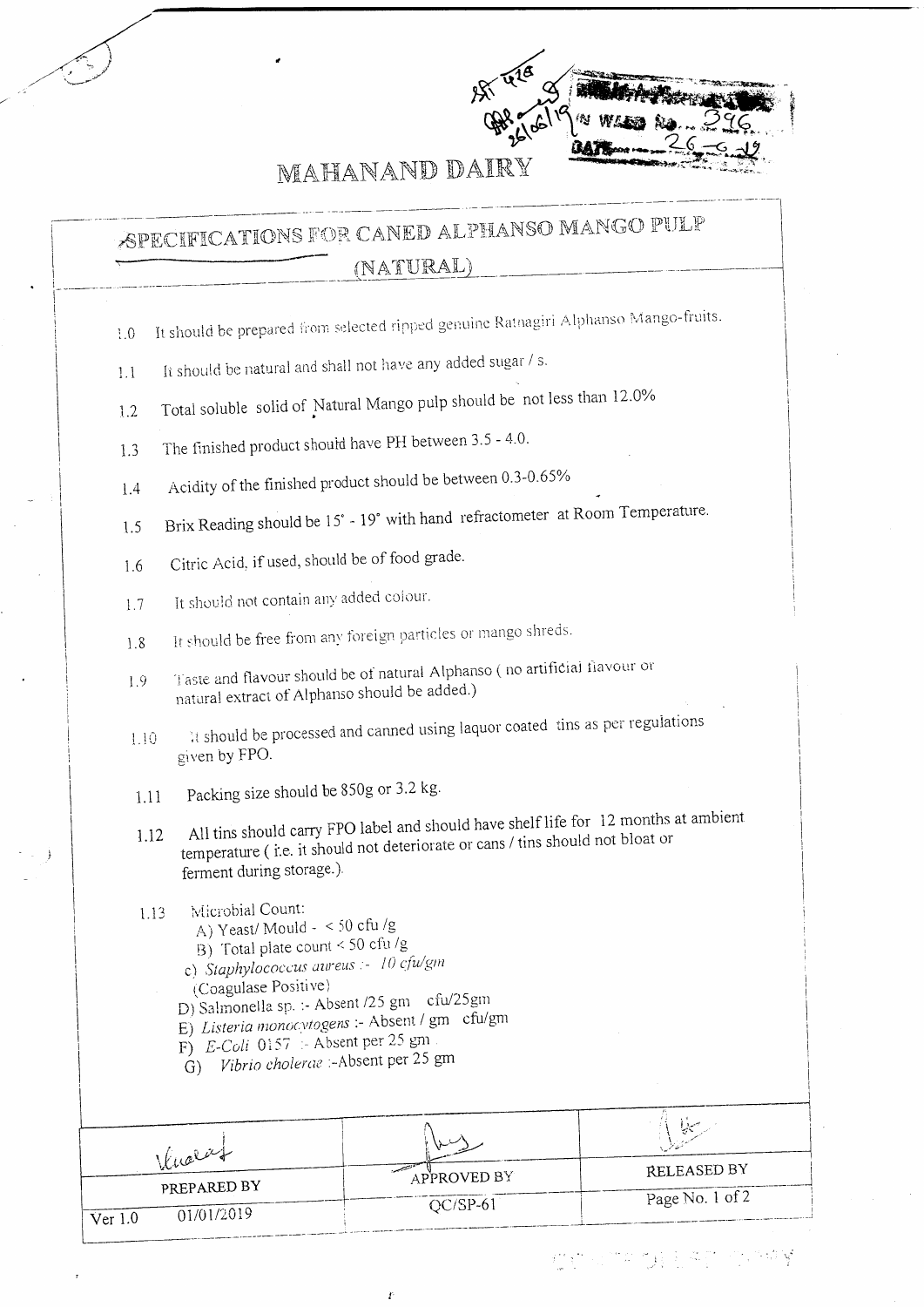

MAHANAND DAIRY

SPECIFICATIONS FOR CANED ALPHANSO MANGO PULP (NATURAL)

- It should be prepared from selected ripped genuine Ratnagiri Alphanso Mango-fruits.  $3.0$
- It should be natural and shall not have any added sugar / s.  $1.1$
- Total soluble solid of Natural Mango pulp should be not less than 12.0%  $1.2$
- The finished product should have PH between 3.5 4.0.  $1.3$
- Acidity of the finished product should be between 0.3-0.65%  $1.4$
- Brix Reading should be 15° 19° with hand refractometer at Room Temperature.  $1.5$
- Citric Acid, if used, should be of food grade. 1.6
- It should not contain any added colour. 1.7
- It should be free from any foreign particles or mango shreds. 1.8
- Taste and flavour should be of natural Alphanso (no artificial flavour or  $1.9$ natural extract of Alphanso should be added.)
- It should be processed and canned using laquor coated tins as per regulations  $1.10$ given by FPO.
- Packing size should be 850g or 3.2 kg.  $1.11$
- All tins should carry FPO label and should have shelf life for 12 months at ambient temperature (i.e. it should not deteriorate or cans / tins should not bloat or 1.12 ferment during storage.).
- Microbial Count:  $1.13$ 
	- A) Yeast/Mould < 50 cfu /g
	- B) Total plate count < 50 cfu/g
	- c) Staphylococcus aureus :- 10 cfu/gm
	- (Coagulase Positive)
	- D) Salmonella sp. :- Absent /25 gm cfu/25 gm
	- E) Listeria monocytogens :- Absent / gm cfu/gm
	- F)  $E\text{-}Coli$  0157 Absent per 25 gm
	- $\acute{G}$ ) Vibrio cholerae :- Absent per 25 gm

| Knoter                    | APPROVED BY | RELEASED BY     |
|---------------------------|-------------|-----------------|
| PREPARED BY<br>01/01/2019 | $OC/SP-61$  | Page No. 1 of 2 |
| √er                       |             |                 |

Ï